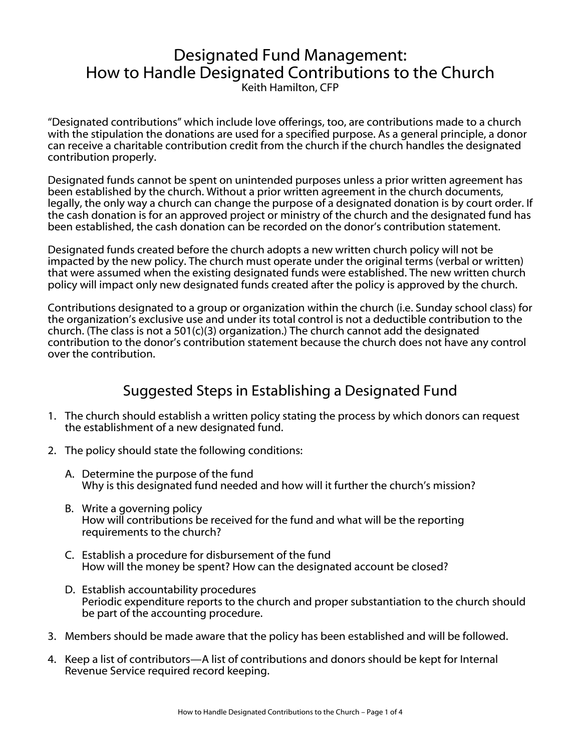# Designated Fund Management: How to Handle Designated Contributions to the Church

Keith Hamilton, CFP

"Designated contributions" which include love offerings, too, are contributions made to a church with the stipulation the donations are used for a specified purpose. As a general principle, a donor can receive a charitable contribution credit from the church if the church handles the designated contribution properly.

Designated funds cannot be spent on unintended purposes unless a prior written agreement has been established by the church. Without a prior written agreement in the church documents, legally, the only way a church can change the purpose of a designated donation is by court order. If the cash donation is for an approved project or ministry of the church and the designated fund has been established, the cash donation can be recorded on the donor's contribution statement.

Designated funds created before the church adopts a new written church policy will not be impacted by the new policy. The church must operate under the original terms (verbal or written) that were assumed when the existing designated funds were established. The new written church policy will impact only new designated funds created after the policy is approved by the church.

Contributions designated to a group or organization within the church (i.e. Sunday school class) for the organization's exclusive use and under its total control is not a deductible contribution to the church. (The class is not a 501(c)(3) organization.) The church cannot add the designated contribution to the donor's contribution statement because the church does not have any control over the contribution.

## Suggested Steps in Establishing a Designated Fund

- 1. The church should establish a written policy stating the process by which donors can request the establishment of a new designated fund.
- 2. The policy should state the following conditions:
	- A. Determine the purpose of the fund Why is this designated fund needed and how will it further the church's mission?
	- B. Write a governing policy How will contributions be received for the fund and what will be the reporting requirements to the church?
	- C. Establish a procedure for disbursement of the fund How will the money be spent? How can the designated account be closed?
	- D. Establish accountability procedures Periodic expenditure reports to the church and proper substantiation to the church should be part of the accounting procedure.
- 3. Members should be made aware that the policy has been established and will be followed.
- 4. Keep a list of contributors—A list of contributions and donors should be kept for Internal Revenue Service required record keeping.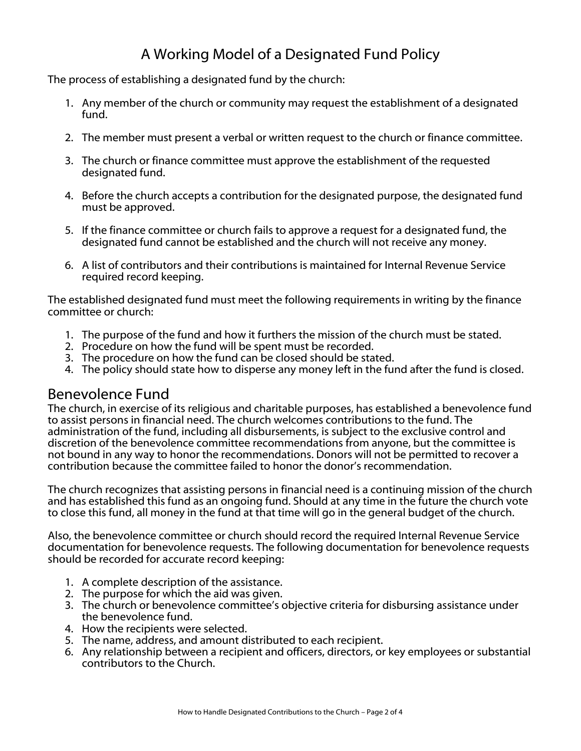# A Working Model of a Designated Fund Policy

The process of establishing a designated fund by the church:

- 1. Any member of the church or community may request the establishment of a designated fund.
- 2. The member must present a verbal or written request to the church or finance committee.
- 3. The church or finance committee must approve the establishment of the requested designated fund.
- 4. Before the church accepts a contribution for the designated purpose, the designated fund must be approved.
- 5. If the finance committee or church fails to approve a request for a designated fund, the designated fund cannot be established and the church will not receive any money.
- 6. A list of contributors and their contributions is maintained for Internal Revenue Service required record keeping.

The established designated fund must meet the following requirements in writing by the finance committee or church:

- 1. The purpose of the fund and how it furthers the mission of the church must be stated.
- 2. Procedure on how the fund will be spent must be recorded.
- 3. The procedure on how the fund can be closed should be stated.
- 4. The policy should state how to disperse any money left in the fund after the fund is closed.

#### Benevolence Fund

The church, in exercise of its religious and charitable purposes, has established a benevolence fund to assist persons in financial need. The church welcomes contributions to the fund. The administration of the fund, including all disbursements, is subject to the exclusive control and discretion of the benevolence committee recommendations from anyone, but the committee is not bound in any way to honor the recommendations. Donors will not be permitted to recover a contribution because the committee failed to honor the donor's recommendation.

The church recognizes that assisting persons in financial need is a continuing mission of the church and has established this fund as an ongoing fund. Should at any time in the future the church vote to close this fund, all money in the fund at that time will go in the general budget of the church.

Also, the benevolence committee or church should record the required Internal Revenue Service documentation for benevolence requests. The following documentation for benevolence requests should be recorded for accurate record keeping:

- 1. A complete description of the assistance.
- 2. The purpose for which the aid was given.
- 3. The church or benevolence committee's objective criteria for disbursing assistance under the benevolence fund.
- 4. How the recipients were selected.
- 5. The name, address, and amount distributed to each recipient.
- 6. Any relationship between a recipient and officers, directors, or key employees or substantial contributors to the Church.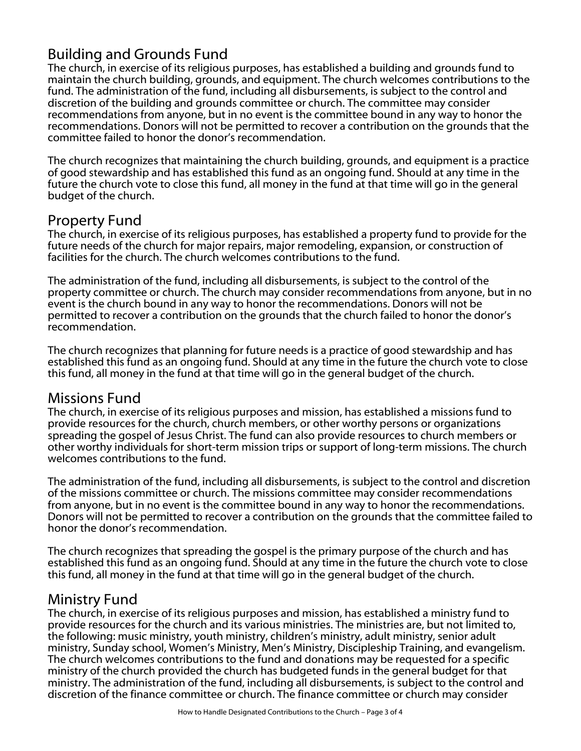## Building and Grounds Fund

The church, in exercise of its religious purposes, has established a building and grounds fund to maintain the church building, grounds, and equipment. The church welcomes contributions to the fund. The administration of the fund, including all disbursements, is subject to the control and discretion of the building and grounds committee or church. The committee may consider recommendations from anyone, but in no event is the committee bound in any way to honor the recommendations. Donors will not be permitted to recover a contribution on the grounds that the committee failed to honor the donor's recommendation.

The church recognizes that maintaining the church building, grounds, and equipment is a practice of good stewardship and has established this fund as an ongoing fund. Should at any time in the future the church vote to close this fund, all money in the fund at that time will go in the general budget of the church.

#### Property Fund

The church, in exercise of its religious purposes, has established a property fund to provide for the future needs of the church for major repairs, major remodeling, expansion, or construction of facilities for the church. The church welcomes contributions to the fund.

The administration of the fund, including all disbursements, is subject to the control of the property committee or church. The church may consider recommendations from anyone, but in no event is the church bound in any way to honor the recommendations. Donors will not be permitted to recover a contribution on the grounds that the church failed to honor the donor's recommendation.

The church recognizes that planning for future needs is a practice of good stewardship and has established this fund as an ongoing fund. Should at any time in the future the church vote to close this fund, all money in the fund at that time will go in the general budget of the church.

## Missions Fund

The church, in exercise of its religious purposes and mission, has established a missions fund to provide resources for the church, church members, or other worthy persons or organizations spreading the gospel of Jesus Christ. The fund can also provide resources to church members or other worthy individuals for short-term mission trips or support of long-term missions. The church welcomes contributions to the fund.

The administration of the fund, including all disbursements, is subject to the control and discretion of the missions committee or church. The missions committee may consider recommendations from anyone, but in no event is the committee bound in any way to honor the recommendations. Donors will not be permitted to recover a contribution on the grounds that the committee failed to honor the donor's recommendation.

The church recognizes that spreading the gospel is the primary purpose of the church and has established this fund as an ongoing fund. Should at any time in the future the church vote to close this fund, all money in the fund at that time will go in the general budget of the church.

#### Ministry Fund

The church, in exercise of its religious purposes and mission, has established a ministry fund to provide resources for the church and its various ministries. The ministries are, but not limited to, the following: music ministry, youth ministry, children's ministry, adult ministry, senior adult ministry, Sunday school, Women's Ministry, Men's Ministry, Discipleship Training, and evangelism. The church welcomes contributions to the fund and donations may be requested for a specific ministry of the church provided the church has budgeted funds in the general budget for that ministry. The administration of the fund, including all disbursements, is subject to the control and discretion of the finance committee or church. The finance committee or church may consider